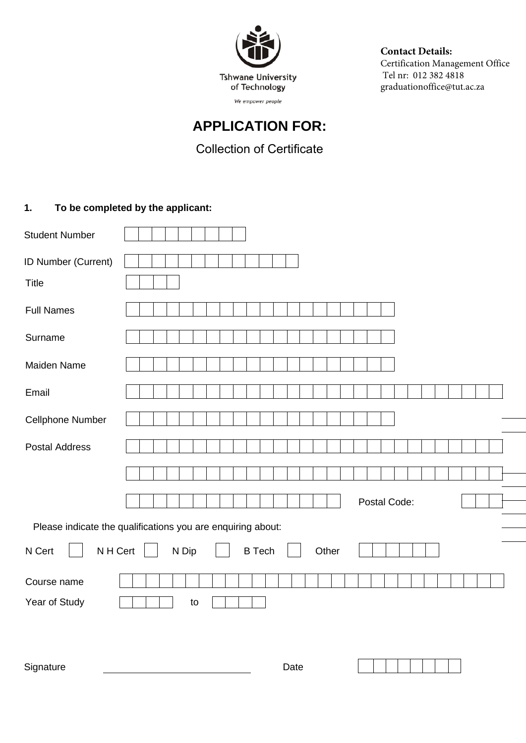

Contact Details: Certification Management Office Tel nr: 012 382 4818 graduationoffice@tut.ac.za

## **APPLICATION FOR:**

## **Collection of Certificate**

## **1. To be completed by the applicant:**

| <b>Student Number</b>                                                                                                              |                                                                               |  |  |
|------------------------------------------------------------------------------------------------------------------------------------|-------------------------------------------------------------------------------|--|--|
| ID Number (Current)<br><b>Title</b>                                                                                                |                                                                               |  |  |
| <b>Full Names</b>                                                                                                                  |                                                                               |  |  |
| Surname                                                                                                                            |                                                                               |  |  |
| <b>Maiden Name</b>                                                                                                                 |                                                                               |  |  |
| Email                                                                                                                              |                                                                               |  |  |
| <b>Cellphone Number</b>                                                                                                            |                                                                               |  |  |
| <b>Postal Address</b>                                                                                                              |                                                                               |  |  |
|                                                                                                                                    |                                                                               |  |  |
|                                                                                                                                    | Postal Code:                                                                  |  |  |
| Please indicate the qualifications you are enquiring about:                                                                        |                                                                               |  |  |
| N H Cert<br>N Cert                                                                                                                 | N Dip<br><b>B</b> Tech<br>Other                                               |  |  |
| Course name                                                                                                                        |                                                                               |  |  |
| <b>Year of Graduation</b>                                                                                                          |                                                                               |  |  |
| <b>NO</b><br>Were the Certification Management Office notified of your graduation attendance status: YES<br>(If NO please see 2.1) |                                                                               |  |  |
| Indicate collection method                                                                                                         | Someone will collect for me<br>Will collect personal<br>(See 2.2 for details) |  |  |
| Signature                                                                                                                          | Date                                                                          |  |  |